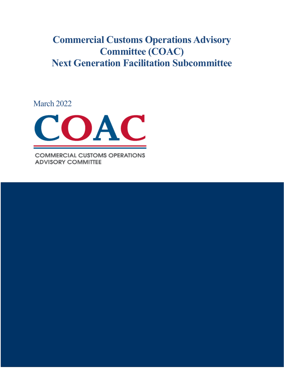# **Commercial Customs Operations Advisory Committee (COAC) Next Generation Facilitation Subcommittee**

March 2022



**COMMERCIAL CUSTOMS OPERATIONS ADVISORY COMMITTEE** 

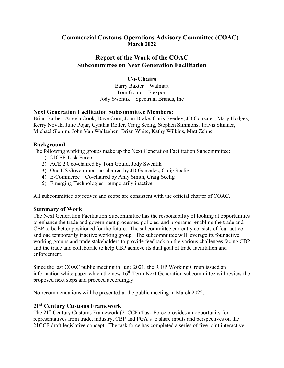## **Commercial Customs Operations Advisory Committee (COAC) March 2022**

# **Report of the Work of the COAC Subcommittee on Next Generation Facilitation**

## **Co-Chairs**

Barry Baxter – Walmart Tom Gould – Flexport Jody Swentik – Spectrum Brands, Inc

## **Next Generation Facilitation Subcommittee Members:**

Brian Barber, Angela Cook, Dave Corn, John Drake, Chris Everley, JD Gonzales, Mary Hodges, Kerry Novak, Julie Pojar, Cynthia Roller, Craig Seelig, Stephen Simmons, Travis Skinner, Michael Slonim, John Van Wallaghen, Brian White, Kathy Wilkins, Matt Zehner

## **Background**

The following working groups make up the Next Generation Facilitation Subcommittee:

- 1) 21CFF Task Force
- 2) ACE 2.0 co-chaired by Tom Gould, Jody Swentik
- 3) One US Government co-chaired by JD Gonzalez, Craig Seelig
- 4) E-Commerce Co-chaired by Amy Smith, Craig Seelig
- 5) Emerging Technologies –temporarily inactive

All subcommittee objectives and scope are consistent with the official charter of COAC.

## **Summary of Work**

The Next Generation Facilitation Subcommittee has the responsibility of looking at opportunities to enhance the trade and government processes, policies, and programs, enabling the trade and CBP to be better positioned for the future. The subcommittee currently consists of four active and one temporarily inactive working group. The subcommittee will leverage its four active working groups and trade stakeholders to provide feedback on the various challenges facing CBP and the trade and collaborate to help CBP achieve its dual goal of trade facilitation and enforcement.

Since the last COAC public meeting in June 2021, the RIEP Working Group issued an information white paper which the new  $16<sup>th</sup>$  Term Next Generation subcommittee will review the proposed next steps and proceed accordingly.

No recommendations will be presented at the public meeting in March 2022.

## **21st Century Customs Framework**

The 21st Century Customs Framework (21CCF) Task Force provides an opportunity for representatives from trade, industry, CBP and PGA's to share inputs and perspectives on the 21CCF draft legislative concept. The task force has completed a series of five joint interactive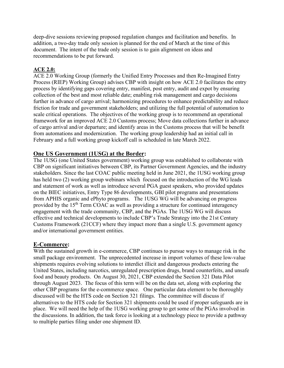deep-dive sessions reviewing proposed regulation changes and facilitation and benefits. In addition, a two-day trade only session is planned for the end of March at the time of this document. The intent of the trade only session is to gain alignment on ideas and recommendations to be put forward.

## **ACE 2.0:**

ACE 2.0 Working Group (formerly the Unified Entry Processes and then Re-Imagined Entry Process (RIEP) Working Group) advises CBP with insight on how ACE 2.0 facilitates the entry process by identifying gaps covering entry, manifest, post entry, audit and expot by ensuring collection of the best and most reliable date; enabling risk management and cargo decisions further in advance of cargo arrival; harmonizing procedures to enhance predictability and reduce friction for trade and government stakeholders; and utilizing the full potential of automation to scale critical operations. The objectives of the working group is to recommend an operational framework for an improved ACE 2.0 Customs process; Move data collections further in advance of cargo arrival and/or departure; and identify areas in the Customs process that will be benefit from automations and modernization. The working group leadership had an initial call in February and a full working group kickoff call is scheduled in late March 2022.

### **One US Government (1USG) at the Border:**

The 1USG (one United States government) working group was established to collaborate with CBP on significant initiatives between CBP, its Partner Government Agencies, and the industry stakeholders. Since the last COAC public meeting held in June 2021, the 1USG working group has held two (2) working group webinars which focused on the introduction of the WG leads and statement of work as well as introduce several PGA guest speakers, who provided updates on the BIEC initiatives, Entry Type 86 developments, GBI pilot programs and presentations from APHIS organic and ePhyto programs. The 1USG WG will be advancing on progress provided by the 15<sup>th</sup> Term COAC as well as providing a structure for continued interagency engagement with the trade community, CBP, and the PGAs. The 1USG WG will discuss effective and technical developments to include CBP's Trade Strategy into the 21st Century Customs Framework (21CCF) where they impact more than a single U.S. government agency and/or international government entities.

## **E-Commerce:**

With the sustained growth in e-commerce, CBP continues to pursue ways to manage risk in the small package environment. The unprecedented increase in import volumes of these low-value shipments requires evolving solutions to interdict illicit and dangerous products entering the United States, including narcotics, unregulated prescription drugs, brand counterfeits, and unsafe food and beauty products. On August 30, 2021, CBP extended the Section 321 Data Pilot through August 2023. The focus of this term will be on the data set, along with exploring the other CBP programs for the e-commerce space. One particular data element to be thoroughly discussed will be the HTS code on Section 321 filings. The committee will discuss if alternatives to the HTS code for Section 321 shipments could be used if proper safeguards are in place. We will need the help of the 1USG working group to get some of the PGAs involved in the discussions. In addition, the task force is looking at a technology piece to provide a pathway to multiple parties filing under one shipment ID.